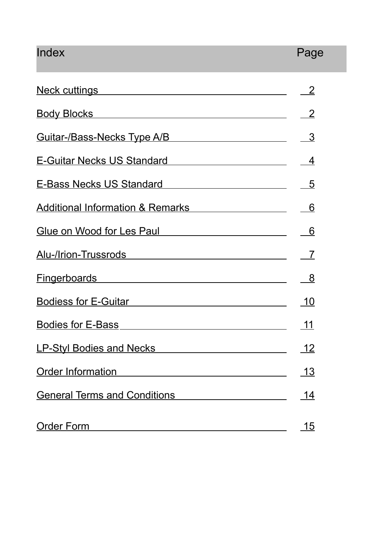# Index Page

| <u>Neck cuttings _____</u>                                                                                                                                                                                                     | $\overline{2}$           |
|--------------------------------------------------------------------------------------------------------------------------------------------------------------------------------------------------------------------------------|--------------------------|
| <b>Body Blocks</b>                                                                                                                                                                                                             | $\overline{2}$           |
| <u>Guitar-/Bass-Necks Type A/B [19] [19] Cuitar-/Bass-Necks Type A/B</u>                                                                                                                                                       | <u>3</u>                 |
| E-Guitar Necks US Standard Manuscriptus Contractor Contractor                                                                                                                                                                  | $\overline{4}$           |
| E-Bass Necks US Standard Manuscript Contract Manuscript Contract Manuscript Contract Manuscript Contract Manuscript Contract Manuscript Contract Manuscript Contract Manuscript Contract Manuscript Contract Manuscript Contra | $\_5$                    |
| Additional Information & Remarks Additional Information & Remarks                                                                                                                                                              | $-6$                     |
| Glue on Wood for Les Paul Communication of the Mood for Les Paul                                                                                                                                                               | $-6$                     |
| Alu-/Irion-Trussrods                                                                                                                                                                                                           | $\overline{\phantom{0}}$ |
| Fingerboards experience and the state of the state of the state of the state of the state of the state of the                                                                                                                  | <u>__8</u>               |
| <b>Bodiess for E-Guitar</b>                                                                                                                                                                                                    | <u> 10</u>               |
| <b>Bodies for E-Bass</b>                                                                                                                                                                                                       | 11                       |
| <b>LP-Styl Bodies and Necks</b>                                                                                                                                                                                                | <u> 12</u>               |
| <b>Order Information</b>                                                                                                                                                                                                       | <u> 13</u>               |
| <b>General Terms and Conditions</b>                                                                                                                                                                                            | 14                       |
| <b>Order Form</b>                                                                                                                                                                                                              | <u> 15</u>               |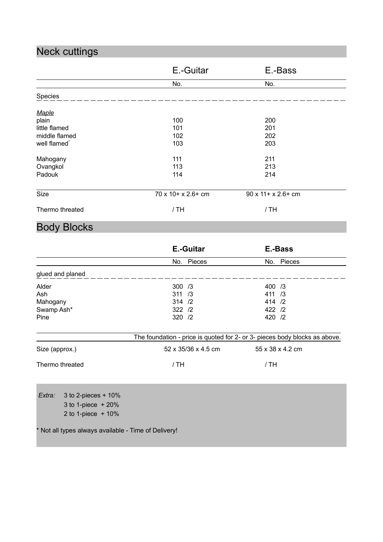## Neck cuttings

|                          | E.-Guitar            | E.-Bass                     |  |
|--------------------------|----------------------|-----------------------------|--|
|                          | No.                  | No.                         |  |
| Species                  |                      |                             |  |
| Maple                    |                      |                             |  |
| plain                    | 100                  | 200                         |  |
| little flamed            | 101                  | 201                         |  |
| middle flamed            | 102                  | 202                         |  |
| well flamed <sup>*</sup> | 103                  | 203                         |  |
| Mahogany                 | 111                  | 211                         |  |
| Ovangkol                 | 113                  | 213                         |  |
| Padouk                   | 114                  | 214                         |  |
| Size                     | 70 x 10 + x 2.6 + cm | $90 \times 11 + x 2.6 + cm$ |  |
| Thermo threated          | /TH                  | / TH                        |  |

## Body Blocks

|                  |                                                      |         | <b>E.-Guitar</b>    |        | E.-Bass                                                                    |
|------------------|------------------------------------------------------|---------|---------------------|--------|----------------------------------------------------------------------------|
|                  |                                                      |         | No. Pieces          |        | No. Pieces                                                                 |
| glued and planed |                                                      |         |                     |        |                                                                            |
| Alder            |                                                      | 300 / 3 |                     | 400 /3 |                                                                            |
| Ash              |                                                      | 311 / 3 |                     | 411 /3 |                                                                            |
| Mahogany         |                                                      | 314 / 2 |                     | 414 /2 |                                                                            |
| Swamp Ash*       |                                                      | 322 /2  |                     | 422 /2 |                                                                            |
| Pine             |                                                      | 320 /2  |                     | 420 /2 |                                                                            |
|                  |                                                      |         |                     |        | The foundation - price is quoted for 2- or 3- pieces body blocks as above. |
| Size (approx.)   |                                                      |         | 52 x 35/36 x 4.5 cm |        | 55 x 38 x 4.2 cm                                                           |
| Thermo threated  |                                                      | /TH     |                     | /TH    |                                                                            |
| Extra:           | 3 to 2-pieces $+10%$                                 |         |                     |        |                                                                            |
|                  | 3 to 1-piece $+20%$                                  |         |                     |        |                                                                            |
|                  |                                                      |         |                     |        |                                                                            |
|                  | 2 to 1-piece $+10%$                                  |         |                     |        |                                                                            |
|                  | * Not all types always available - Time of Delivery! |         |                     |        |                                                                            |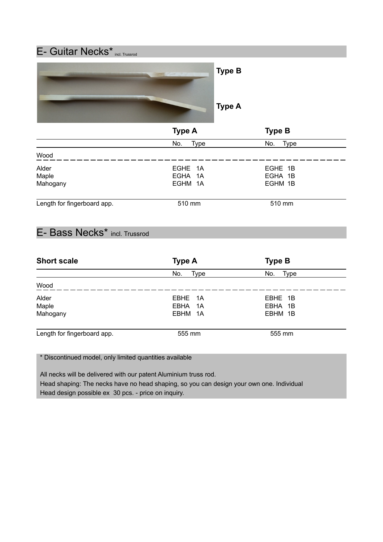

### E- Bass Necks\* incl. Trussrod

| <b>Type A</b> | <b>Type B</b>     |        |
|---------------|-------------------|--------|
| No.<br>Type   | No.<br>Type       |        |
|               |                   |        |
| EBHE 1A       | EBHE 1B           |        |
|               | EBHA 1B           |        |
| EBHM 1A       | EBHM 1B           |        |
|               |                   |        |
|               | EBHA 1A<br>555 mm | 555 mm |

\* Discontinued model, only limited quantities available

 All necks will be delivered with our patent Aluminium truss rod. Head shaping: The necks have no head shaping, so you can design your own one. Individual Head design possible ex 30 pcs. - price on inquiry.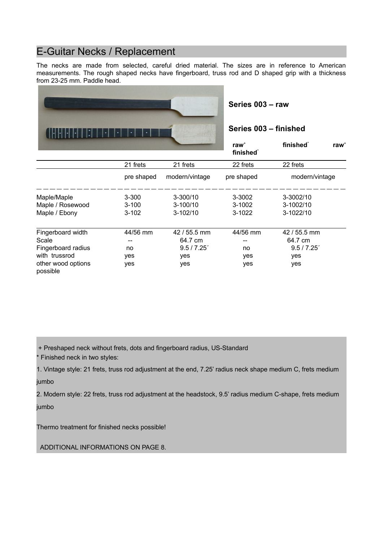#### E-Guitar Necks / Replacement

The necks are made from selected, careful dried material. The sizes are in reference to American measurements. The rough shaped necks have fingerboard, truss rod and D shaped grip with a thickness from 23-25 mm. Paddle head.



**Series 003 – raw** 

#### **Series 003 – finished**

|                                |            |                | raw $+$<br>finished <sup>*</sup> | finished <sup>*</sup><br>raw $+$ |
|--------------------------------|------------|----------------|----------------------------------|----------------------------------|
|                                | 21 frets   | 21 frets       | 22 frets                         | 22 frets                         |
|                                | pre shaped | modern/vintage | pre shaped                       | modern/vintage                   |
| Maple/Maple                    | $3 - 300$  | $3 - 300/10$   | 3-3002                           | 3-3002/10                        |
| Maple / Rosewood               | $3 - 100$  | $3 - 100/10$   | $3-1002$                         | 3-1002/10                        |
| Maple / Ebony                  | $3 - 102$  | $3-102/10$     | 3-1022                           | 3-1022/10                        |
| Fingerboard width              | 44/56 mm   | $42/55.5$ mm   | 44/56 mm                         | $42/55.5$ mm                     |
| Scale                          |            | 64.7 cm        | --                               | 64.7 cm                          |
| Fingerboard radius             | no         | 9.5 / 7.25'    | no                               | 9.5 / 7.25'                      |
| with trussrod                  | yes        | yes            | yes                              | yes                              |
| other wood options<br>possible | yes        | yes            | yes                              | yes                              |

+ Preshaped neck without frets, dots and fingerboard radius, US-Standard

\* Finished neck in two styles:

1. Vintage style: 21 frets, truss rod adjustment at the end, 7.25' radius neck shape medium C, frets medium jumbo

2. Modern style: 22 frets, truss rod adjustment at the headstock, 9.5' radius medium C-shape, frets medium jumbo

Thermo treatment for finished necks possible!

ADDITIONAL INFORMATIONS ON PAGE 8.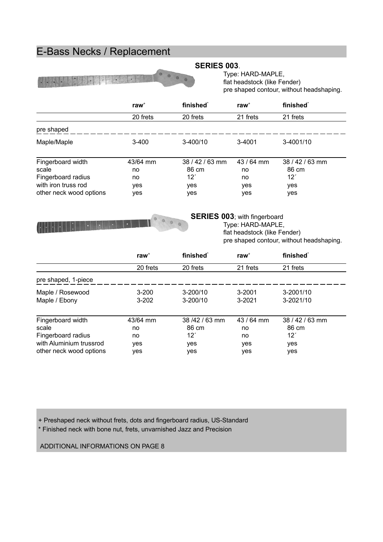### E-Bass Necks / Replacement

| The Basic State |  |
|-----------------|--|
|-----------------|--|

#### **SERIES 003**.

Type: HARD-MAPLE, flat headstock (like Fender) pre shaped contour, without headshaping.

|                         | $raw+$    | finished <sup>*</sup> | raw $+$    | finished <sup>*</sup> |
|-------------------------|-----------|-----------------------|------------|-----------------------|
|                         | 20 frets  | 20 frets              | 21 frets   | 21 frets              |
| pre shaped              |           |                       |            |                       |
| Maple/Maple             | $3 - 400$ | $3-400/10$            | 3-4001     | 3-4001/10             |
| Fingerboard width       | 43/64 mm  | 38 / 42 / 63 mm       | 43 / 64 mm | 38 / 42 / 63 mm       |
| scale                   | no.       | 86 cm                 | no         | 86 cm                 |
| Fingerboard radius      | no        | 121                   | no         | 12'                   |
| with iron truss rod     | yes       | yes                   | yes        | yes                   |
| other neck wood options | yes       | yes                   | yes        | yes                   |



**SERIES 003**; with fingerboard Type: HARD-MAPLE, flat headstock (like Fender) pre shaped contour, without headshaping.

|                         | raw $+$   | finished <sup>*</sup> | raw $+$    | finished <sup>*</sup> |
|-------------------------|-----------|-----------------------|------------|-----------------------|
|                         | 20 frets  | 20 frets              | 21 frets   | 21 frets              |
| pre shaped, 1-piece     |           |                       |            |                       |
| Maple / Rosewood        | $3 - 200$ | $3 - 200/10$          | 3-2001     | 3-2001/10             |
| Maple / Ebony           | $3 - 202$ | $3 - 200/10$          | $3 - 2021$ | 3-2021/10             |
| Fingerboard width       | 43/64 mm  | 38/42/63 mm           | $43/64$ mm | $38/42/63$ mm         |
| scale                   | no        | 86 cm                 | no         | 86 cm                 |
| Fingerboard radius      | no        | 121                   | no         | 12'                   |
| with Aluminium trussrod | yes       | yes                   | yes        | yes                   |
| other neck wood options | yes       | yes                   | yes        | yes                   |

+ Preshaped neck without frets, dots and fingerboard radius, US-Standard \* Finished neck with bone nut, frets, unvarnished Jazz and Precision

ADDITIONAL INFORMATIONS ON PAGE 8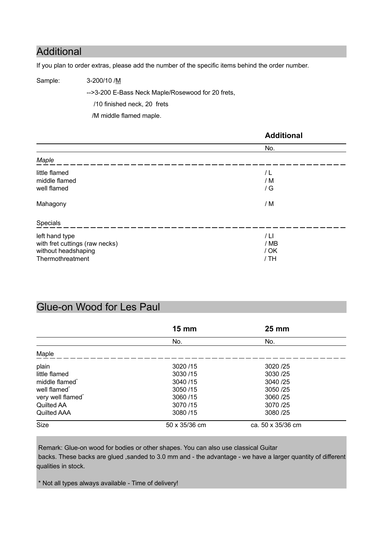#### Additional

If you plan to order extras, please add the number of the specific items behind the order number.

Sample: 3-200/10 /M

-->3-200 E-Bass Neck Maple/Rosewood for 20 frets, /10 finished neck, 20 frets

/M middle flamed maple.

|                                                                                             | <b>Additional</b>            |
|---------------------------------------------------------------------------------------------|------------------------------|
|                                                                                             | No.                          |
| Maple                                                                                       |                              |
| little flamed<br>middle flamed<br>well flamed<br>Mahagony                                   | / L<br>/ M<br>/ G<br>/ M     |
| Specials                                                                                    |                              |
| left hand type<br>with fret cuttings (raw necks)<br>without headshaping<br>Thermothreatment | / LI<br>/ MB<br>/ OK<br>/ TH |

#### Glue-on Wood for Les Paul

|                            | $15 \, \text{mm}$ | <b>25 mm</b>      |  |  |
|----------------------------|-------------------|-------------------|--|--|
|                            | No.               | No.               |  |  |
| Maple                      |                   |                   |  |  |
| plain                      | 3020 /15          | 3020 / 25         |  |  |
| little flamed              | 3030/15           | 3030 / 25         |  |  |
| middle flamed <sup>*</sup> | 3040/15           | 3040 / 25         |  |  |
| well flamed <sup>*</sup>   | 3050/15           | 3050 / 25         |  |  |
| very well flamed*          | 3060/15           | 3060 / 25         |  |  |
| Quilted AA                 | 3070/15           | 3070/25           |  |  |
| <b>Quilted AAA</b>         | 3080/15           | 3080 / 25         |  |  |
| <b>Size</b>                | 50 x 35/36 cm     | ca. 50 x 35/36 cm |  |  |

Remark: Glue-on wood for bodies or other shapes. You can also use classical Guitar backs. These backs are glued ,sanded to 3.0 mm and - the advantage - we have a larger quantity of different qualities in stock.

\* Not all types always available - Time of delivery!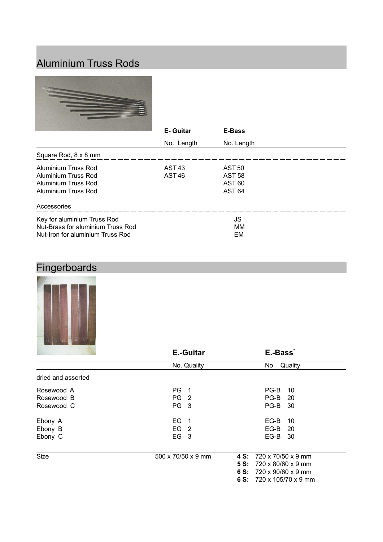## Aluminium Truss Rods



|                                   | E-Guitar          | E-Bass            |  |
|-----------------------------------|-------------------|-------------------|--|
|                                   | No. Length        | No. Length        |  |
| Square Rod, 8 x 8 mm              |                   |                   |  |
| Aluminium Truss Rod               | AST <sub>43</sub> | <b>AST 50</b>     |  |
| Aluminium Truss Rod               | AST <sub>46</sub> | <b>AST 58</b>     |  |
| Aluminium Truss Rod               |                   | <b>AST 60</b>     |  |
| Aluminium Truss Rod               |                   | AST <sub>64</sub> |  |
| Accessories                       |                   |                   |  |
| Key for aluminium Truss Rod       |                   | JS                |  |
| Nut-Brass for aluminium Truss Rod |                   | МM                |  |
| Nut-Iron for aluminium Truss Rod  |                   | EM                |  |

# Fingerboards



|                    | <b>E.-Guitar</b>   | E.-Bass <sup>*</sup>                 |
|--------------------|--------------------|--------------------------------------|
|                    | No. Quality        | No. Quality                          |
| dried and assorted |                    |                                      |
| Rosewood A         | PG 1               | $PG-B$<br>10                         |
| Rosewood B         | PG <sub>2</sub>    | <b>PG-B</b> 20                       |
| Rosewood C         | PG <sub>3</sub>    | <b>PG-B 30</b>                       |
| Ebony A            | $EG$ 1             | EG-B<br>10                           |
| Ebony B            | EG <sub>2</sub>    | EG-B<br>- 20                         |
| Ebony C            | EG <sub>3</sub>    | EG-B 30                              |
| Size               | 500 x 70/50 x 9 mm | 4 S: 720 x 70/50 x 9 mm              |
|                    |                    | <b>5 S:</b> 720 x 80/60 x 9 mm       |
|                    |                    | 6 S: $720 \times 90/60 \times 9$ mm  |
|                    |                    | 6 S: $720 \times 105/70 \times 9$ mm |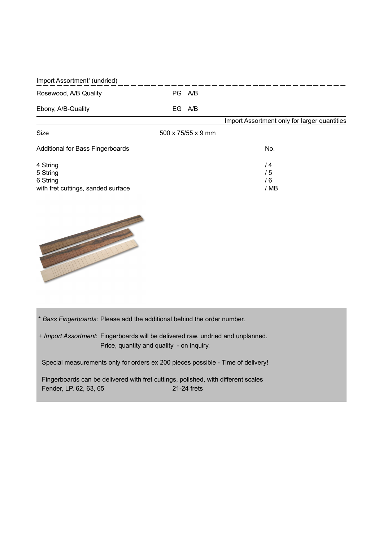| Import Assortment <sup>+</sup> (undried) |     |                                |                                              |
|------------------------------------------|-----|--------------------------------|----------------------------------------------|
| Rosewood, A/B Quality                    |     | PG A/B                         |                                              |
| Ebony, A/B-Quality                       | EG. | A/B                            |                                              |
|                                          |     |                                | Import Assortment only for larger quantities |
| Size                                     |     | $500 \times 75/55 \times 9$ mm |                                              |
| Additional for Bass Fingerboards         |     |                                | No.                                          |
| 4 String                                 |     |                                | / 4                                          |
| 5 String                                 |     |                                | / 5                                          |
| 6 String                                 |     |                                | / 6                                          |
| with fret cuttings, sanded surface       |     |                                | / MB                                         |



\* *Bass Fingerboards*: Please add the additional behind the order number.

+ *Import Assortment*: Fingerboards will be delivered raw, undried and unplanned. Price, quantity and quality - on inquiry.

Special measurements only for orders ex 200 pieces possible - Time of delivery!

 Fingerboards can be delivered with fret cuttings, polished, with different scales Fender, LP, 62, 63, 65 21-24 frets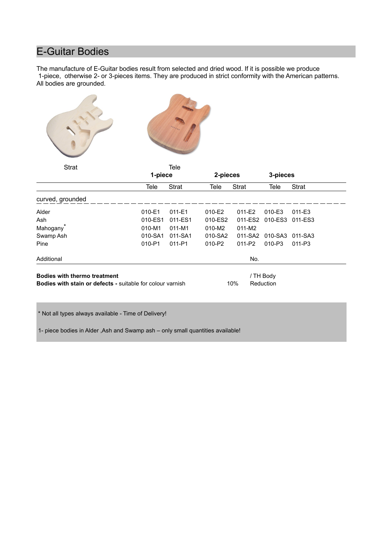### E-Guitar Bodies

The manufacture of E-Guitar bodies result from selected and dried wood. If it is possible we produce 1-piece, otherwise 2- or 3-pieces items. They are produced in strict conformity with the American patterns. All bodies are grounded.





| <b>Strat</b>                                                                                             |            | Tele         |            |              |                        |              |
|----------------------------------------------------------------------------------------------------------|------------|--------------|------------|--------------|------------------------|--------------|
|                                                                                                          | 1-piece    |              | 2-pieces   |              | 3-pieces               |              |
|                                                                                                          | Tele       | <b>Strat</b> | Tele       | <b>Strat</b> | Tele                   | <b>Strat</b> |
| curved, grounded                                                                                         |            |              |            |              |                        |              |
| Alder                                                                                                    | 010-E1     | $011 - E1$   | $010 - E2$ | $011-E2$     | 010-E3                 | $011 - E3$   |
| Ash                                                                                                      | 010-ES1    | 011-ES1      | 010-ES2    | 011-ES2      | 010-ES3                | 011-ES3      |
| Mahogany <sup>®</sup>                                                                                    | $010 - M1$ | $011 - M1$   | 010-M2     | $011 - M2$   |                        |              |
| Swamp Ash                                                                                                | 010-SA1    | 011-SA1      | 010-SA2    | 011-SA2      | 010-SA3                | 011-SA3      |
| Pine                                                                                                     | 010-P1     | 011-P1       | $010 - P2$ | $011 - P2$   | $010 - P3$             | 011-P3       |
| Additional                                                                                               |            |              |            | No.          |                        |              |
| <b>Bodies with thermo treatment</b><br><b>Bodies with stain or defects - suitable for colour varnish</b> |            |              |            | 10%          | / TH Body<br>Reduction |              |

\* Not all types always available - Time of Delivery!

1- piece bodies in Alder ,Ash and Swamp ash – only small quantities available!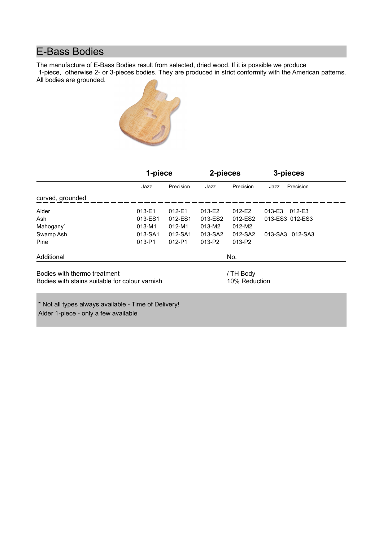### E-Bass Bodies

The manufacture of E-Bass Bodies result from selected, dried wood. If it is possible we produce

1-piece, otherwise 2- or 3-pieces bodies. They are produced in strict conformity with the American patterns. All bodies are grounded.



|                                                | 1-piece |            | 2-pieces |               | 3-pieces |                 |
|------------------------------------------------|---------|------------|----------|---------------|----------|-----------------|
|                                                | Jazz    | Precision  | Jazz     | Precision     | Jazz     | Precision       |
| curved, grounded                               |         |            |          |               |          |                 |
| Alder                                          | 013-E1  | $012-E1$   | 013-E2   | $012-E2$      | 013-E3   | 012-E3          |
| Ash                                            | 013-ES1 | 012-ES1    | 013-ES2  | 012-ES2       |          | 013-ES3 012-ES3 |
| Mahogany <sup>*</sup>                          | 013-M1  | $012 - M1$ | 013-M2   | 012-M2        |          |                 |
| Swamp Ash                                      | 013-SA1 | 012-SA1    | 013-SA2  | 012-SA2       |          | 013-SA3 012-SA3 |
| Pine                                           | 013-P1  | $012 - P1$ | 013-P2   | 013-P2        |          |                 |
| Additional                                     |         |            |          | No.           |          |                 |
| Bodies with thermo treatment                   |         |            |          | / TH Body     |          |                 |
| Bodies with stains suitable for colour varnish |         |            |          | 10% Reduction |          |                 |
|                                                |         |            |          |               |          |                 |
|                                                |         |            |          |               |          |                 |

\* Not all types always available - Time of Delivery! Alder 1-piece - only a few available